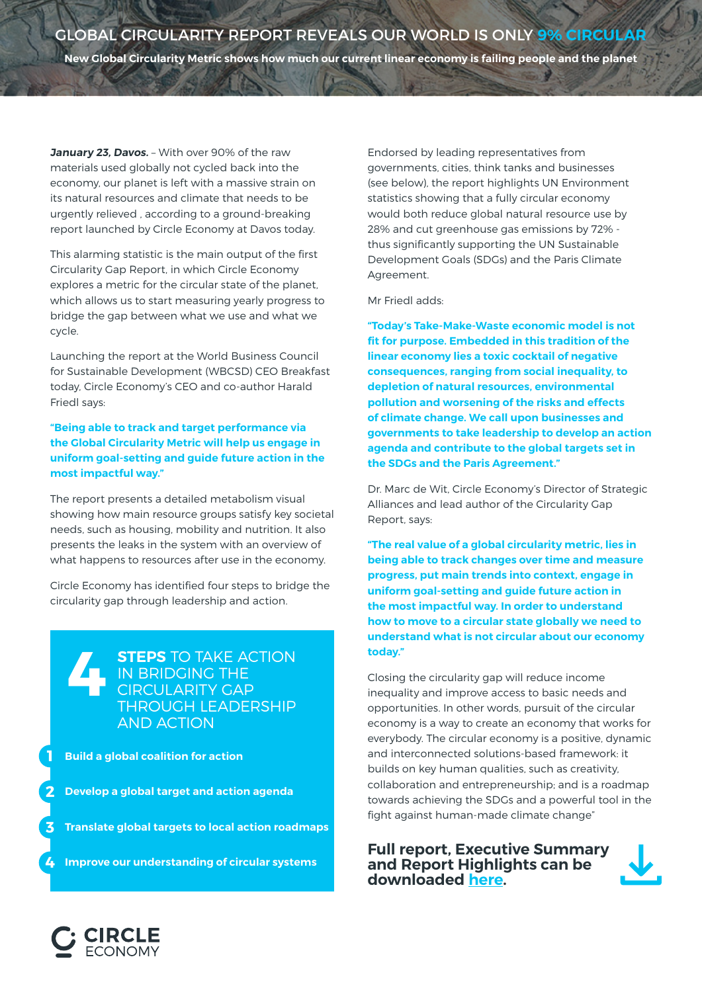**January 23, Davos.** – With over 90% of the raw materials used globally not cycled back into the economy, our planet is left with a massive strain on its natural resources and climate that needs to be urgently relieved , according to a ground-breaking report launched by Circle Economy at Davos today.

This alarming statistic is the main output of the first Circularity Gap Report, in which Circle Economy explores a metric for the circular state of the planet, which allows us to start measuring yearly progress to bridge the gap between what we use and what we cycle.

Launching the report at the World Business Council for Sustainable Development (WBCSD) CEO Breakfast today, Circle Economy's CEO and co-author Harald Friedl says:

**"Being able to track and target performance via the Global Circularity Metric will help us engage in uniform goal-setting and guide future action in the most impactful way."**

The report presents a detailed metabolism visual showing how main resource groups satisfy key societal needs, such as housing, mobility and nutrition. It also presents the leaks in the system with an overview of what happens to resources after use in the economy.

Circle Economy has identified four steps to bridge the circularity gap through leadership and action.

**STEPS** TO TAKE ACTION IN BRIDGING THE CIRCULARITY GAP THROUGH LEADERSHIP AND ACTION **4**

**Build a global coalition for action 1**

**Develop a global target and action agenda 2**

**Translate global targets to local action roadmaps 3**

**Improve our understanding of circular systems 4**

Endorsed by leading representatives from governments, cities, think tanks and businesses (see below), the report highlights UN Environment statistics showing that a fully circular economy would both reduce global natural resource use by 28% and cut greenhouse gas emissions by 72% thus significantly supporting the UN Sustainable Development Goals (SDGs) and the Paris Climate Agreement.

Mr Friedl adds:

**"Today's Take-Make-Waste economic model is not fit for purpose. Embedded in this tradition of the linear economy lies a toxic cocktail of negative consequences, ranging from social inequality, to depletion of natural resources, environmental pollution and worsening of the risks and effects of climate change. We call upon businesses and governments to take leadership to develop an action agenda and contribute to the global targets set in the SDGs and the Paris Agreement."**

Dr. Marc de Wit, Circle Economy's Director of Strategic Alliances and lead author of the Circularity Gap Report, says:

**"The real value of a global circularity metric, lies in being able to track changes over time and measure progress, put main trends into context, engage in uniform goal-setting and guide future action in the most impactful way. In order to understand how to move to a circular state globally we need to understand what is not circular about our economy today."**

Closing the circularity gap will reduce income inequality and improve access to basic needs and opportunities. In other words, pursuit of the circular economy is a way to create an economy that works for everybody. The circular economy is a positive, dynamic and interconnected solutions-based framework: it builds on key human qualities, such as creativity, collaboration and entrepreneurship; and is a roadmap towards achieving the SDGs and a powerful tool in the fight against human-made climate change"

**Full report, Executive Summary and Report Highlights can be downloaded [here.](https://www.circularity-gap.world/)**